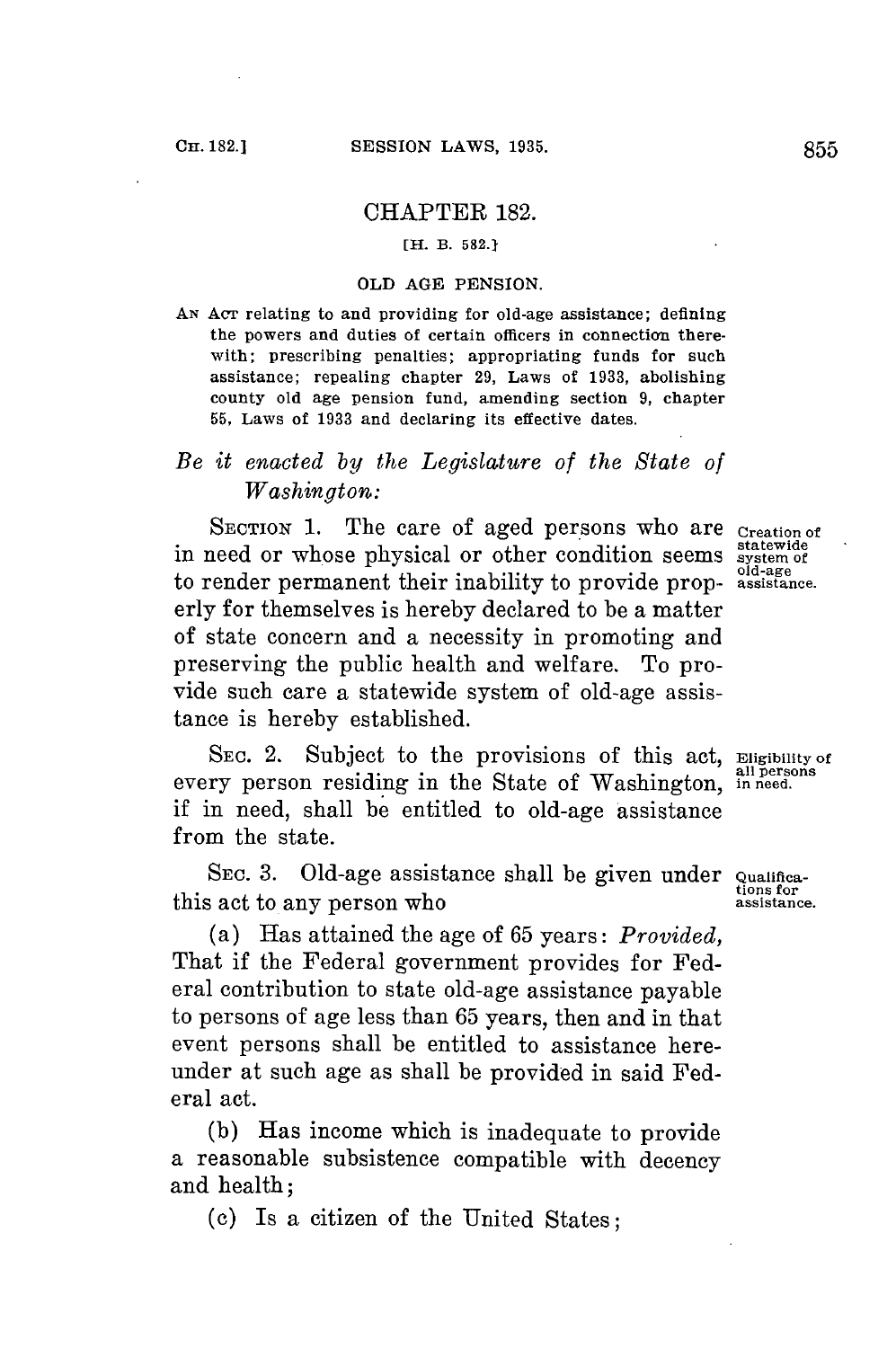#### CHAPTER 182.

#### **[H. B. 582.1**

#### OLD **AGE** PENSION.

**AN AcT** relating to and providing for old-age assistance; defining the powers and duties of certain officers in connection therewith; prescribing penalties; appropriating funds for such assistance; repealing chapter **29,** Laws of **1933,** abolishing county old age pension fund, amending section **9,** chapter **55,** Laws of **1933** and declaring its effective dates.

# *Be it enacted by the Legislature of the State of Washington:*

**SECTION 1.** The care of aged persons who are **Creation of** in need or whose physical or other condition seems system of to render permanent their inability to provide prop- **assistance.** erly **for** themselves is hereby declared to be a matter of state concern and a necessity in promoting and preserving the public health and welfare. To provide such care a statewide system of old-age assistance is hereby established.

SEC. 2. Subject to the provisions of this act, **Eligibility of** every person residing in the State of Washington, in need. if in need, shall be entitled to old-age assistance from the state.

SEC. 3. Old-age assistance shall be given under **Qualifications** for this act to any person who **assistance**.

(a) Has attained the age of **65** years: *Provided,* That if the Federal government provides for Federal contribution to state old-age assistance payable to persons of age less than **65** years, then and in that event persons shall be entitled to assistance hereunder at such age as shall be provided in said Federal act.

**(b)** Has income which is inadequate to provide a reasonable subsistence compatible with decency and health;

**(c)** Is a citizen of the United States;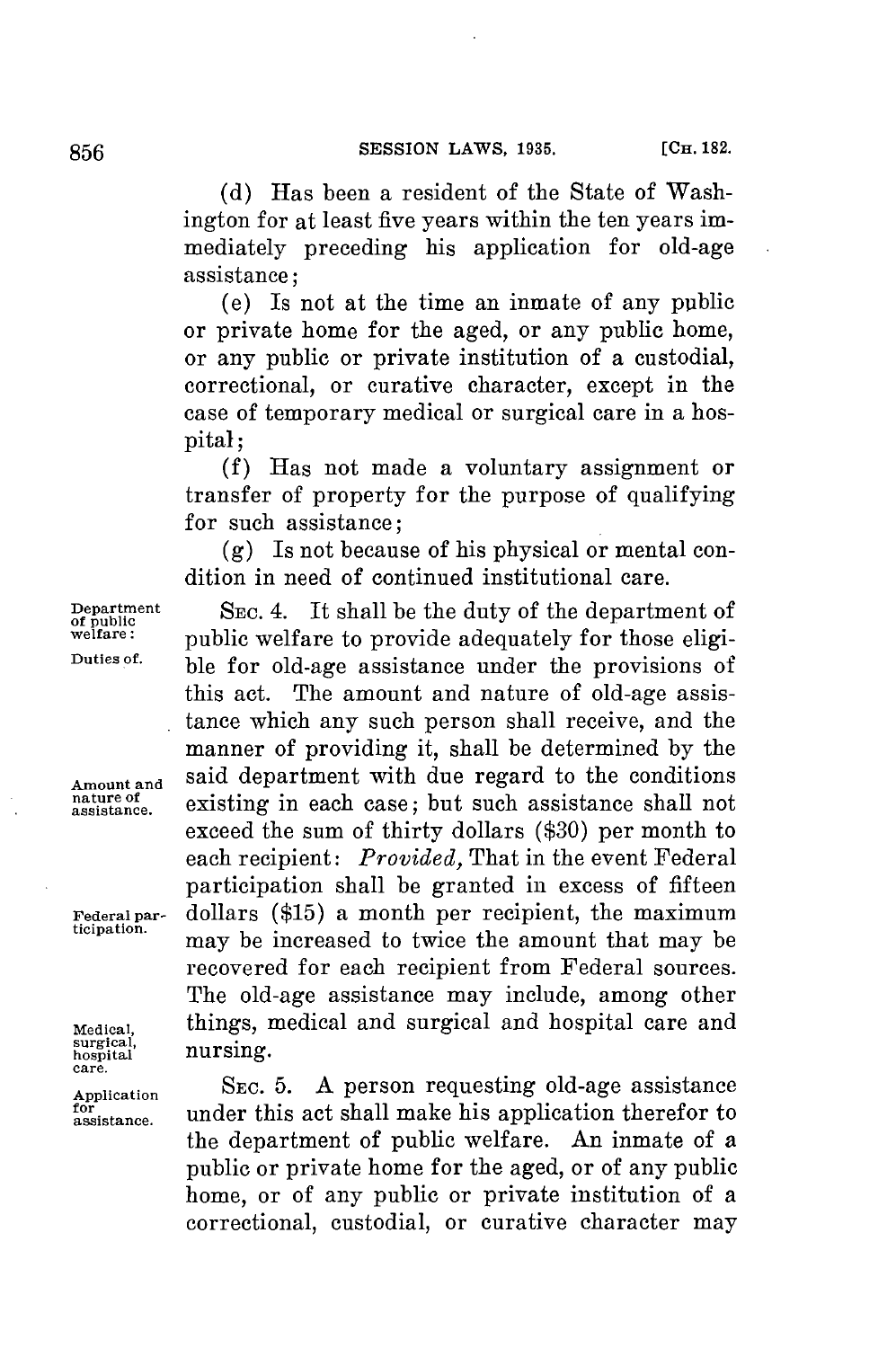**(d)** Has been a resident of the State of Washington **for** at least five years within the ten years immediately preceding his application for old-age assistance;

(e) Is not at the time an inmate of any public or private home for the aged, or any public home, or any public or private institution of a custodial, correctional, or curative character, except in the case of temporary medical or surgical care in a hospital;

**(f)** Has not made a voluntary assignment or transfer of property for the purpose of qualifying for such assistance;

**(g)** Is not because of his physical or mental condition in need of continued institutional care.

**Department** SEC. 4. It shall be the duty of the department of <br> **of public** welfare to provide adequately for those eligi-<br>
puttes of the department of the public welfare to provide a dequately for those eligi-<br>
puttes of ble for old-age assistance under the provisions of this act. The amount and nature of old-age assistance which any such person shall receive, and the manner of providing it, shall be determined **by** the **Amount and** said department with due regard to the conditions **assistance,** existing in each case; but such assistance shall not exceed the sum of thirty dollars **(\$30)** per month to each recipient: *Provided,* That in the event Federal participation shall be granted in excess of fifteen **Federalpar-** dollars **(\$15)** a month per recipient, the maximum may be increased to twice the amount that may be recovered for each recipient from Federal sources. The old-age assistance may include, among other **Medical,** things, medical and surgical and hospital care and

Application SEC. 5. A person requesting old-age assistance for assistance under this act shall make his application therefor to under this act shall make his application therefor to the department of public welfare. An inmate of a public or private home **for** the aged, or of any public home, or of any public or private institution of a correctional, custodial, or curative character may

**nature of**

surgical,<br>hospital **hospital** nursing. **care.**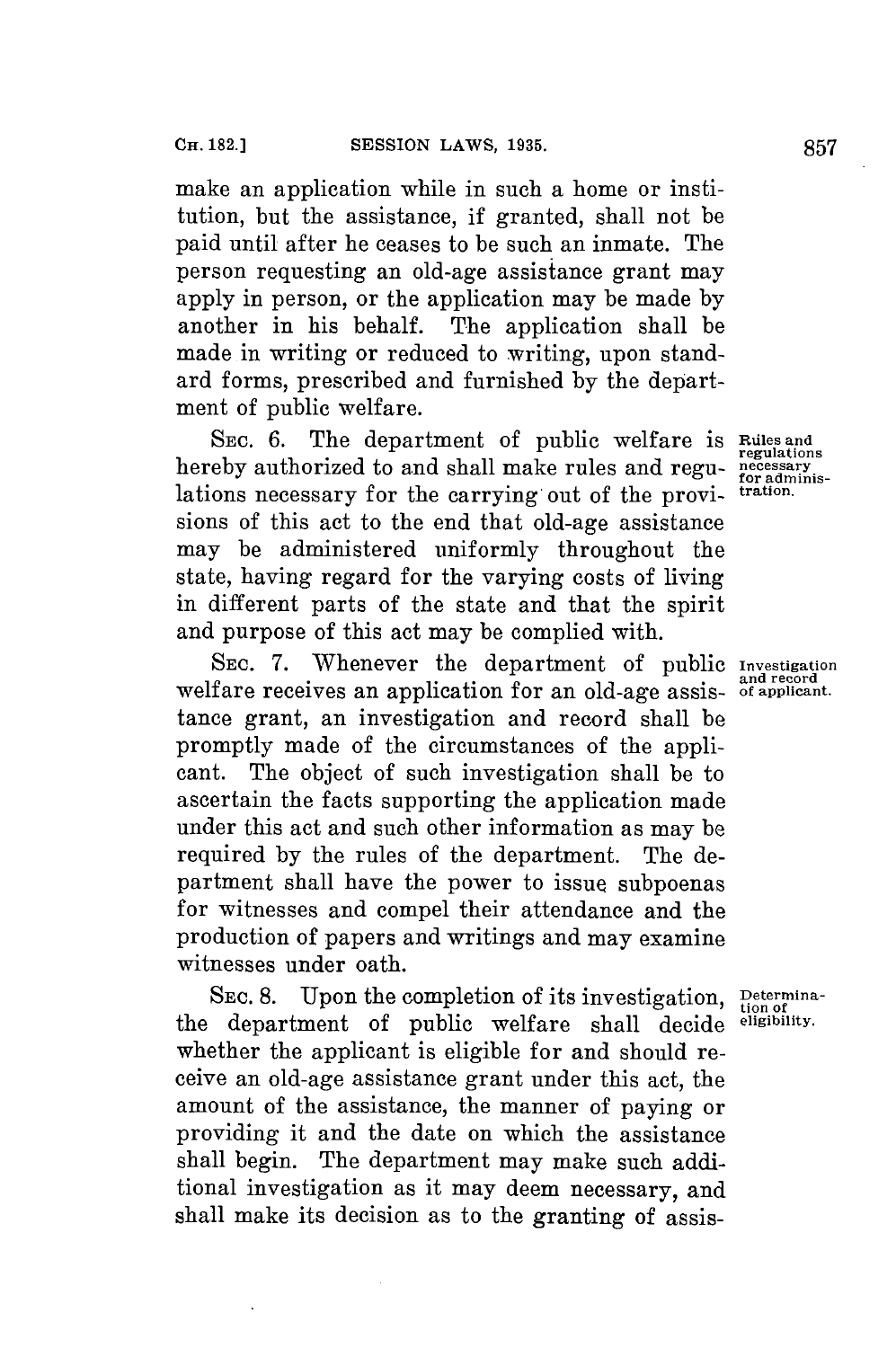make an application while in such a home or institution, but the assistance, if granted, shall not be paid until after he ceases to be such an inmate. The person requesting an old-age assistance grant may apply in person, or the application may be made **by** another in his behalf. The application shall be made in writing or reduced to writing, upon standard forms, prescribed and furnished **by** the department of public welfare.

SEC. 6. The department of public welfare is Rules and hereby authorized to and shall make rules and regulations necessary for the carrying out of the provisions of this act to the end that old-age assistance may be administered uniformly throughout the state, having regard for the varying costs of living in different parts of the state and that the spirit and purpose of this act may be complied with.

**SEC. 7.** Whenever the department of public **Investigation** welfare receives an application for an old-age assis- of applicant. tance grant, an investigation and record shall be promptly made of the circumstances of the applicant. The object of such investigation shall be to ascertain the facts supporting the application made under this act and such other information as may be required **by** the rules of the department. The department shall have the power to issue subpoenas for witnesses and compel their attendance and the production of papers and writings and may examine witnesses under oath.

**SEC. 8.** Upon the completion of its investigation, Determina-<br>
department of public welfare shall decide eligibility. the department of public welfare shall decide whether the applicant is eligible for and should receive an old-age assistance grant under this act, the amount of the assistance, the manner of paying or providing it and the date on which the assistance shall begin. The department may make such additional investigation as it may deem necessary, and shall make its decision as to the granting of assis-

necessary<br>for adminis-<br>tration.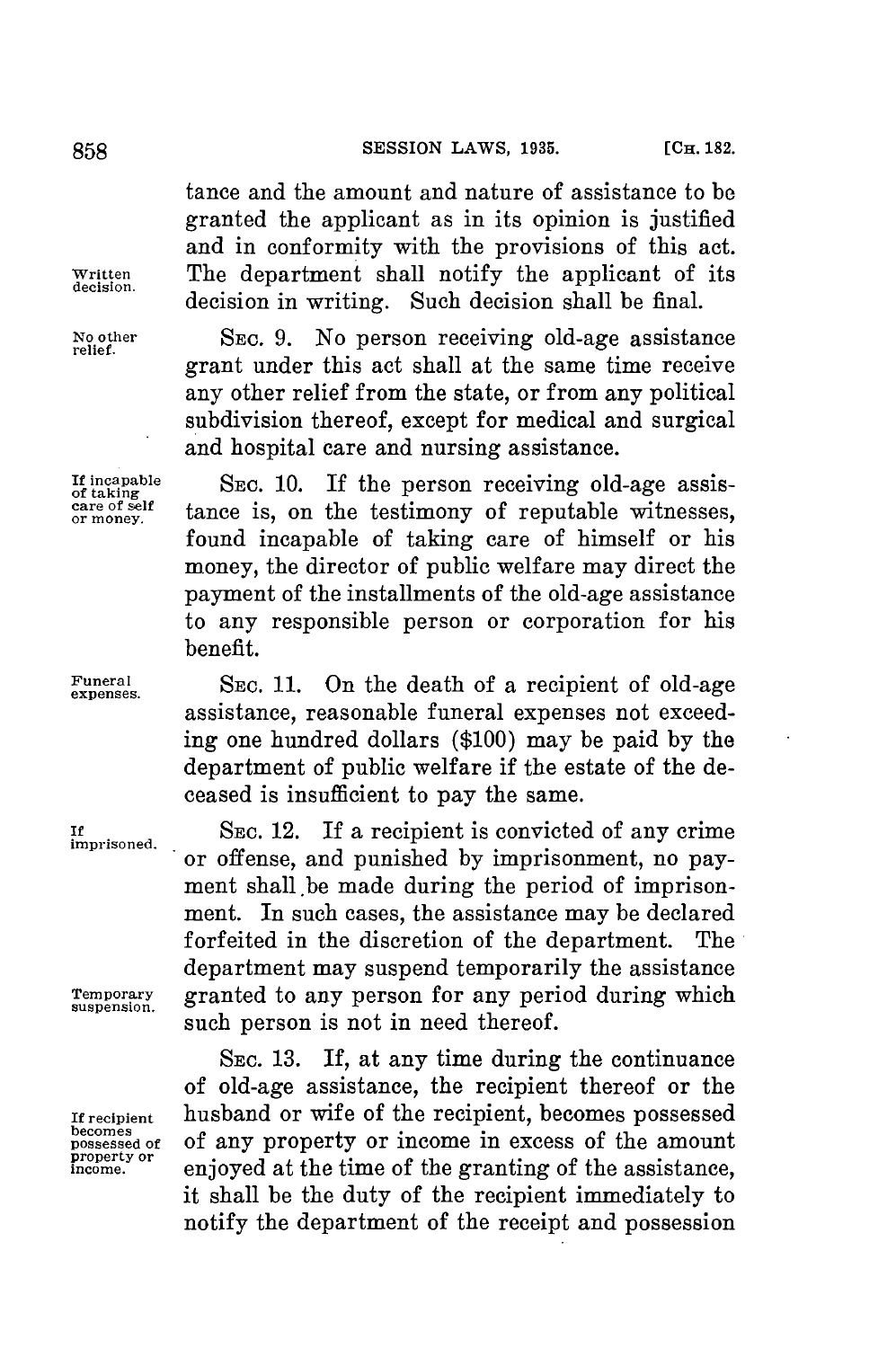### 858 **SESSION LAWS, 1935.** [CH. 182.

tance and the amount and nature of assistance to **be** granted the applicant as in its opinion is justified and in conformity with the provisions of this act. **Written** The department shall notify the applicant of its **decision.** decision in writing. Such decision shall be final.

**No other SEC. 9.** No person receiving old-age assistance **relief.** grant under this act shall at the same time receive any other relief from the state, or from any political subdivision thereof, except for medical and surgical and hospital care and nursing assistance.

If incapable SEC. 10. If the person receiving old-age assistance reset or money.<br>
or money. tance is, on the testimony of reputable witnesses, tance is, on the testimony of reputable witnesses, found incapable of taking care of himself or his money, the director of public welfare may direct the payment of the installments of the old-age assistance to any responsible person or corporation for his benefit.

Funeral SEC. 11. On the death of a recipient of old-age assistance, reasonable funeral expenses not exceeding one hundred dollars **(\$100)** may be paid **by** the department of public welfare if the estate of the deceased is insufficient to pay the same.

**If SEc.** 12. **If** a recipient is convicted of any crime or offense, and punished **by** imprisonment, no payment shall.be made during the period of imprisonment. In such cases, the assistance may be declared forfeited in the discretion of the department. The department may suspend temporarily the assistance Temporary granted to any person for any period during which such person is not in need thereof.

**SEC. 13.** If, at any time during the continuance of old-age assistance, the recipient thereof or the **If recipient** husband or wife of the recipient, becomes possessed **becomes** possessed of of any property or income in excess of the amount property or enjoyed at the time of the granting of the assistance. enjoyed at the time of the granting of the assistance, it shall be the duty of the recipient immediately to notify the department of the receipt and possession

**imprisoned.**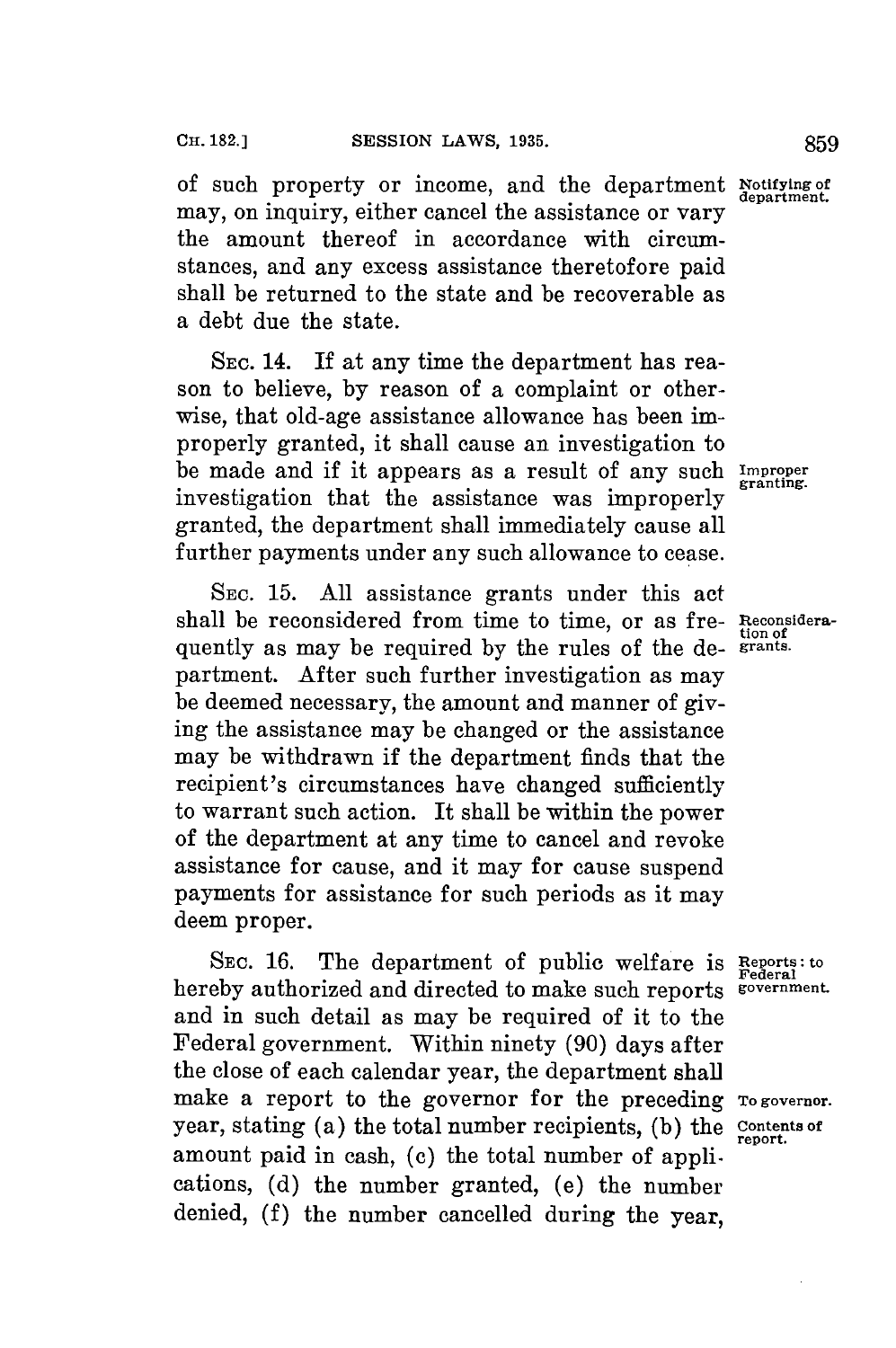of such property or income, and the department **Notifying of** may, on inquiry, either cancel the assistance or vary the amount thereof in accordance with circumstances, and any excess assistance theretofore paid shall be returned to the state and be recoverable as a debt due the state.

**SEC.** 14. If at any time the department has reason to believe, **by** reason of a complaint or otherwise, that old-age assistance allowance has been improperly granted, it shall cause an investigation to be made and if it appears as a result of any such **Improper** investigation that the assistance was improperly **granting.** granted, the department shall immediately cause all further payments under any such allowance to cease.

**SEC. 15. All** assistance grants under this act shall be reconsidered from time to time, or as fre- **Reconsidera**quently as may be required by the rules of the department. After such further investigation as may be deemed necessary, the amount and manner of giving the assistance may be changed or the assistance may be withdrawn if the department finds that the recipient's circumstances have changed sufficiently to warrant such action. It shall be within the power of the department at any time to cancel and revoke assistance for cause, and it may for cause suspend payments for assistance for such periods as it may deem proper.

**SEC. 16.** The department of public welfare **is Reports: to** hereby authorized and directed to make such reports sovernment. and in such detail as may be required of it to the Federal government. Within ninety **(90)** days after the close of each calendar year, the department shall make a report to the governor for the preceding **To governor**. year, stating (a) the total number recipients, (b) the **Contents** of amount paid in cash, **(c)** the total number of applications, **(d)** the number granted, (e) the number denied, **(f)** the number cancelled during the year,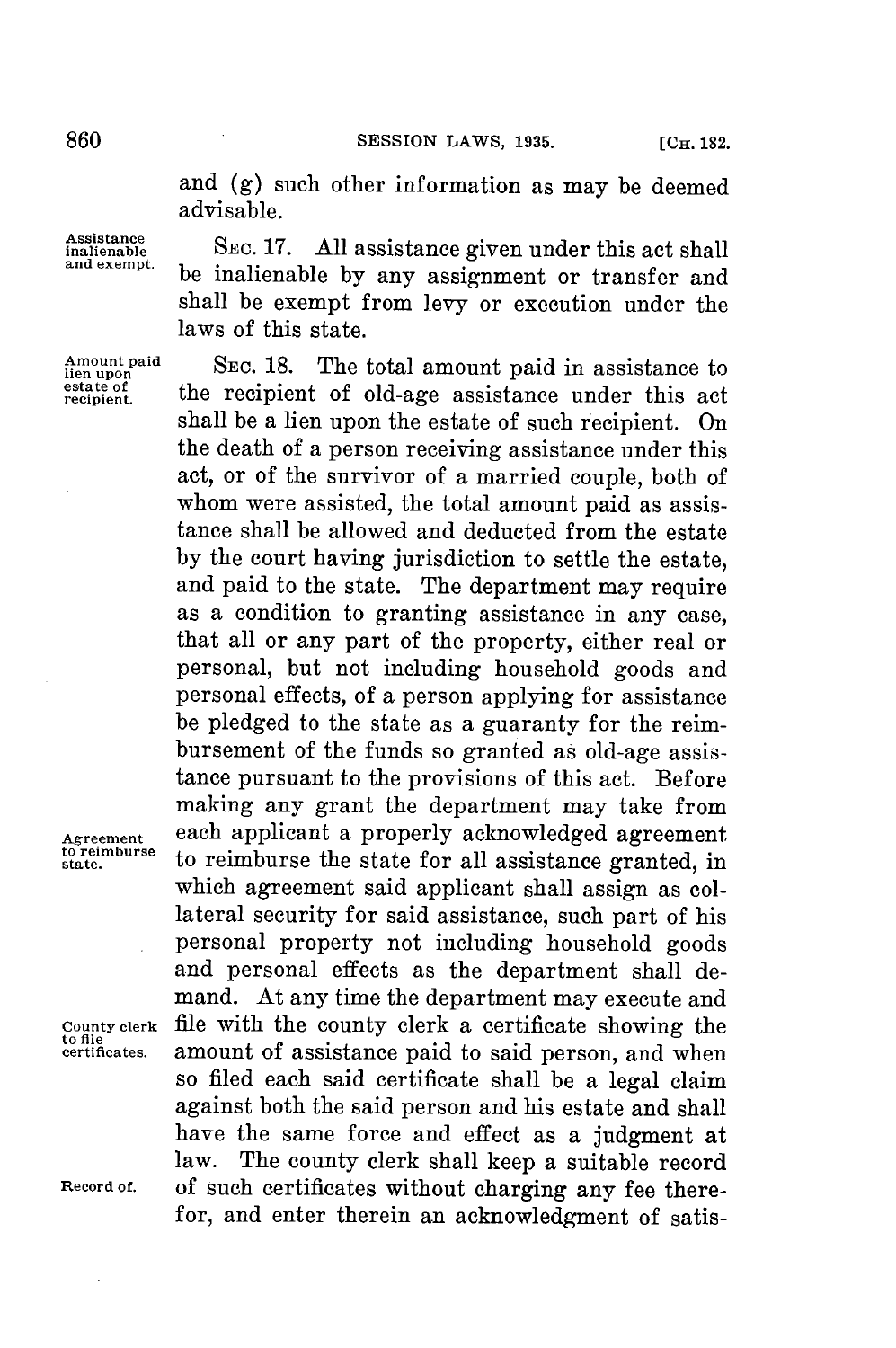and **(g)** such other information as may be deemed advisable.

**nalistnanbe** SEC. **17. All** assistance given under this act shall **and exempt.** be inalienable **by** any assignment or transfer and shall be exempt from levy or execution under the laws of this state.

SEC. 18. The total amount paid in assistance to estate of the recipient of old-age assistance under this act shall be a lien upon the estate of such recipient. On the death of a person receiving assistance under this act, or of the survivor of a married couple, both of whom were assisted, the total amount paid as assistance shall be allowed and deducted from the estate **by** the court having jurisdiction to settle the estate, and paid to the state. The department may require as a condition to granting assistance in any case, that all or any part of the property, either real or personal, but not including household goods and personal effects, of a person applying for assistance be pledged to the state as a guaranty **for** the reimbursement of the funds so granted as old-age assistance pursuant to the provisions of this act. Before making any grant the department may take from Agreement each applicant a properly acknowledged agreement<br> **to reimburse** to reimburse the state for all assistance granted, in **state,** to reimburse the state for all assistance granted, in which agreement said applicant shall assign as collateral security for said assistance, such part of his personal property not including household goods and personal effects as the department shall demand. At any time the department may execute and **County clerk** file with the county clerk a certificate showing the amount of assistance paid to said person, and when so filed each said certificate shall be a legal claim against both the said person and his estate and shall have the same force and effect as a judgment at law. The county clerk shall keep a suitable record The county clerk shall keep a suitable record **Record of.** of such certificates without charging any fee therefor, and enter therein an acknowledgment of satis-

**Amount lien upon**

to file<br>certificates.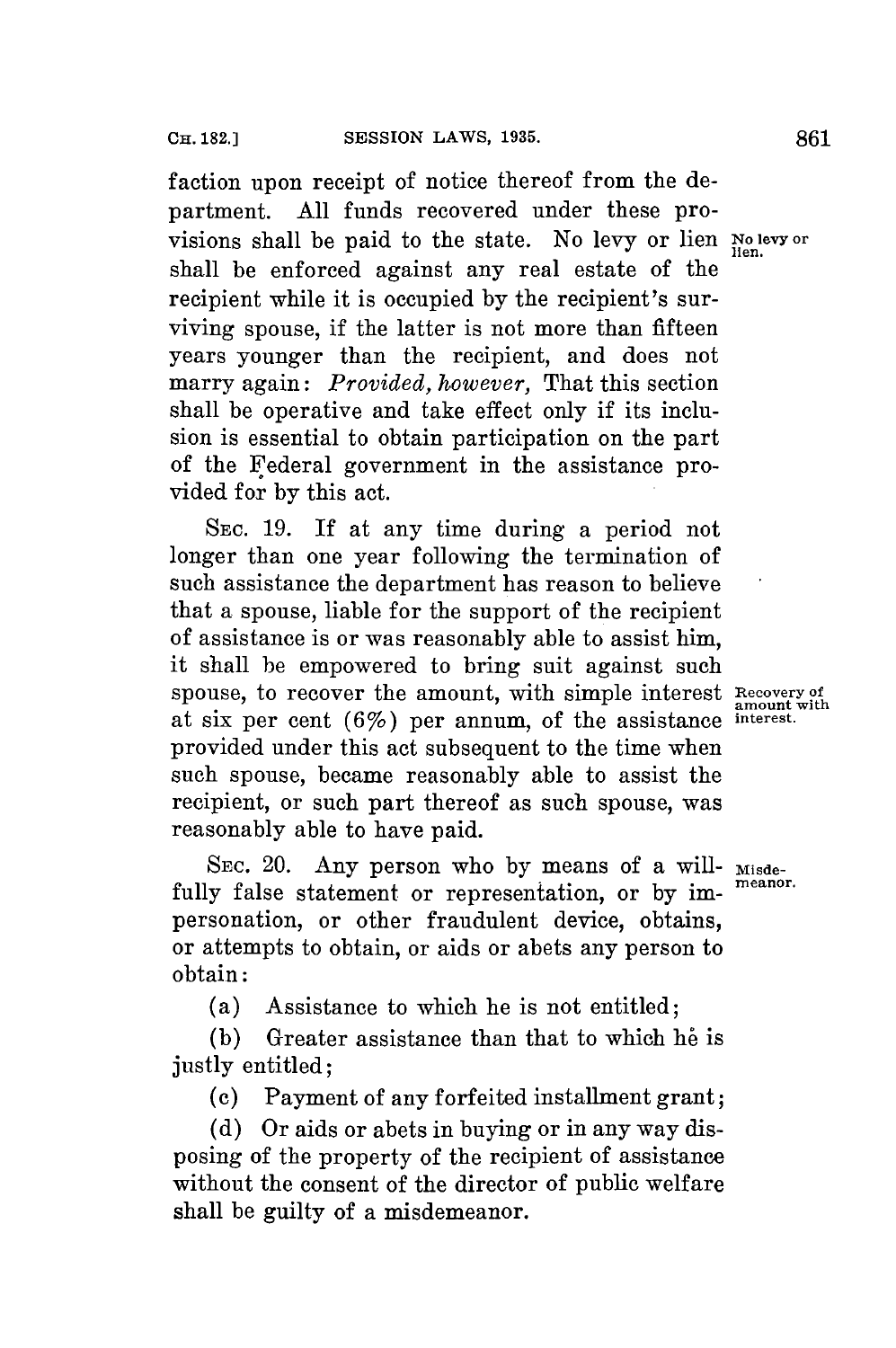faction upon receipt of notice thereof from the department. **All** funds recovered under these provisions shall be paid to the state. No levy or lien **No levy or** shall be enforced against any real estate of the recipient while it is occupied **by** the recipient's surviving spouse, if the latter is not more than fifteen years younger than the recipient, and does not marry again: *Provided, however,* That this section shall be operative and take effect only if its inclusion is essential to obtain participation on the part of the Federal government in the assistance provided **for by** this act.

SEC. **19.** If at any time during a period not longer than one year following the termination of such assistance the department has reason to believe that a spouse, liable for the support of the recipient of assistance is or was reasonably able to assist him, it shall be empowered to bring suit against such spouse, to recover the amount, with simple interest Recovery of amount with at six per cent (67) per annum, of the assistance **interest.** provided under this act subsequent to the time when such spouse, became reasonably able to assist the recipient, or such part thereof as such spouse, was reasonably able to have paid.

SEC. 20. Any person who by means of a will- Misdefully false statement or representation, or by impersonation, or other fraudulent device, obtains, or attempts to obtain, or aids or abets any person to obtain:

(a) Assistance to which he is not entitled;

**(b)** Greater assistance than that to which **he** is justly entitled;

**(c)** Payment of any forfeited installment grant;

**(d)** Or aids or abets in buying or in any way disposing of the property of the recipient of assistance without the consent of the director of public welfare shall be guilty of a misdemeanor.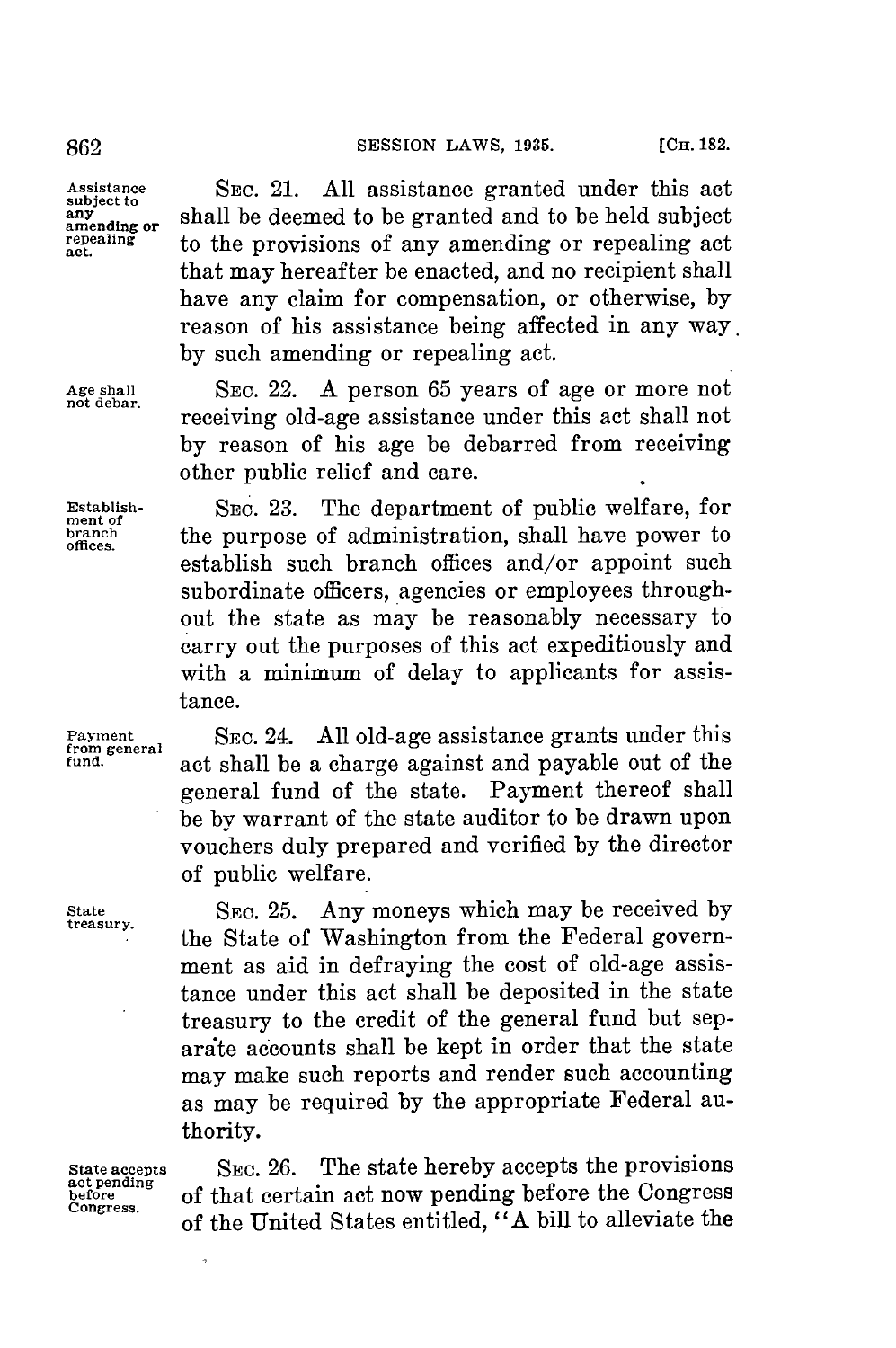that may hereafter be enacted, and no recipient shall have any claim for compensation, or otherwise, **by** reason of his assistance being affected in any way.

**not debar.** receiving old-age assistance under this act shall not **by** reason of his age be debarred from receiving

establish such branch offices and/or appoint such subordinate officers, agencies or employees throughout the state as may be reasonably necessary to carry out the purposes of this act expeditiously and with a minimum of delay to applicants for assis-

**from general fund.** act shall be a charge against and payable out of the general fund of the state. Payment thereof shall be **by** warrant of the state auditor to be drawn upon vouchers duly prepared and verified **by** the director

**by** such amending or repealing act.

other public relief and care.

**Assistance SEC.** 21. **All** assistance granted under this act **subject to** shall be deemed to be granted and to be held subject amending or **epealing** to the provisions of any amending or repealing act

**Age shall** SEc. 22. **A** person **65** years of age or more not

**Establish-** SEc. **23.** The department of public welfare, for **ment of branch the purpose of administration**, shall have power to

**Payment SEc.** 24. **All** old-age assistance grants under this

tance.

of public welfare.

State **SE. 25.** Any moneys which may be received **by** treasury.

the State of Washington from the Federal government as aid in defraying the cost of old-age assistance under this act shall be deposited in the state treasury to the credit of the general fund but separite accounts shall be kept in order that the state may make such reports and render such accounting as may be required **by** the appropriate Federal authority.

,

State accepts SEC. 26. The state hereby accepts the provisions act pending<br>act pending of that certain act now pending before the Congress<br>congress. of the United States entitled, "A bill to alleviate the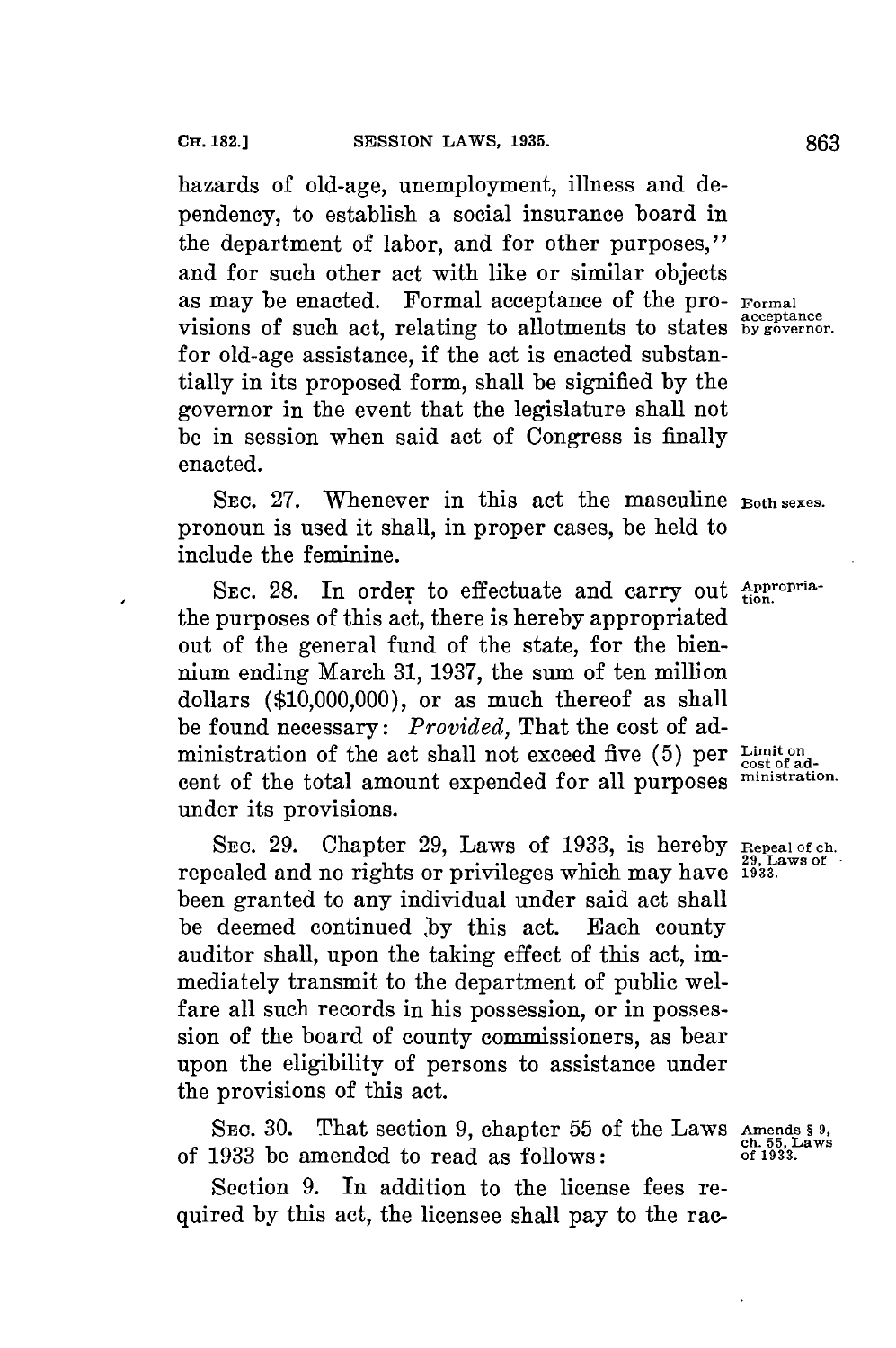hazards of old-age, unemployment, illness and dependency, to establish a social insurance board in the department of labor, and for other purposes," and for such other act with like or similar objects as may be enacted. Formal acceptance of the pro- **Formal** visions of such act, relating to allotments to states **by governor**. for old-age assistance, if the act is enacted substantially in its proposed form, shall be signified **by** the governor in the event that the legislature shall not be in session when said act of Congress is finally enacted.

SEC. **27.** Whenever in this act the masculine **Both sexes.** pronoun is used it shall, in proper cases, be held to include the feminine.

SEC. 28. In order to effectuate and carry out *Appropria*the purposes of this act, there is hereby appropriated out of the general fund of the state, **for** the biennium ending March **31, 1937,** the sum of ten million dollars **(\$10,000,000),** or as much thereof as shall be found necessary: *Provided,* That the cost of administration of the act shall not exceed five (5) per Limit on cost of adcent of the total amount expended for all purposes **ministration.** under its provisions.

**SEC. 29.** Chapter **29,** Laws of **1933,** is hereby **Repeal of ch. 29, Laws of** repealed and no rights or privileges which may have **1933.** been granted to any individual under said act shall be deemed continued **,by** this act. Each county auditor shall, upon the taking effect of this act, immediately transmit to the department of public welfare all such records in his possession, or in possession of the board of county commissioners, as bear upon the eligibility of persons to assistance under the provisions of this act.

SEc. **30.** That section **9,** chapter **55** of the Laws **Amends § 9, ch. 55, Laws** of **1933** be amended to read as follows: **of 1933.**

Section **9.** In addition to the license fees required **by** this act, the licensee shall pay to the rac-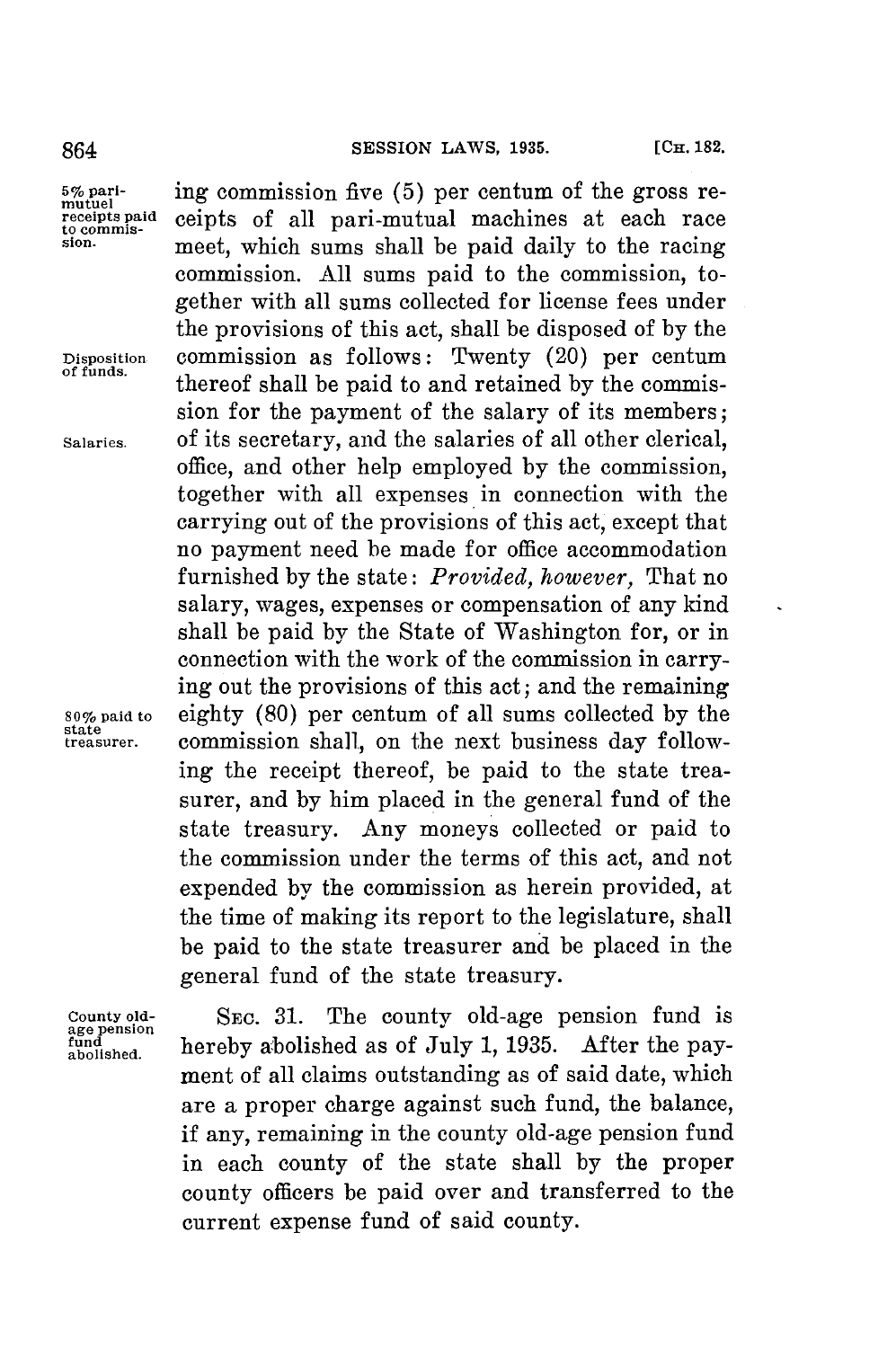864 **SESSION LAWS, 1935.** [CH. 182.

5% pari-<br>mutuel<br>receipts paid<br>to commis-

**state**

age pension<br>fund<br>abolished.

ing commission five (5) per centum of the gross receipts of all pari-mutual machines at each race sion. meet, which sums shall be paid daily to the racing commission. **All** sums paid to the commission, together with all sums collected **for** license fees under the provisions of this act, shall be disposed of **by** the **Disposition** commission as follows: Twenty (20) per centum **of funds.** thereof shall be paid to and retained **by** the commission for the payment of the salary of its members; **Salaries.** of its secretary, and the salaries of all other clerical, office, and other help employed **by** the commission, together with all expenses in connection with the carrying out of the provisions of this act, except that no payment need be made for office accommodation furnished **by** the state: *Provided, however,* That no salary, wages, expenses or compensation of any kind shall be paid by the State of Washington for, or in connection with the work of the commission in carrying out the provisions of this act; and the remaining **80% paid to** eighty **(80)** per centum of all sums collected **by** the commission shall, on the next business day following the receipt thereof, be paid to the state treasurer, and **by** him placed in the general fund of the state treasury. Any moneys collected or paid to the commission under the terms of this act, and not expended **by** the commission as herein provided, at the time of making its report to the legislature, shall be paid to the state treasurer and be placed in the general fund of the state treasury.

**County old- SEc. 31.** The county old-age pension fund is hereby abolished as of July 1, 1935. After the payment of all claims outstanding as of said date, which are a proper charge against such fund, the balance, if any, remaining in the county old-age pension fund in each county of the state shall **by** the proper county officers be paid over and transferred to the current expense fund of said county.